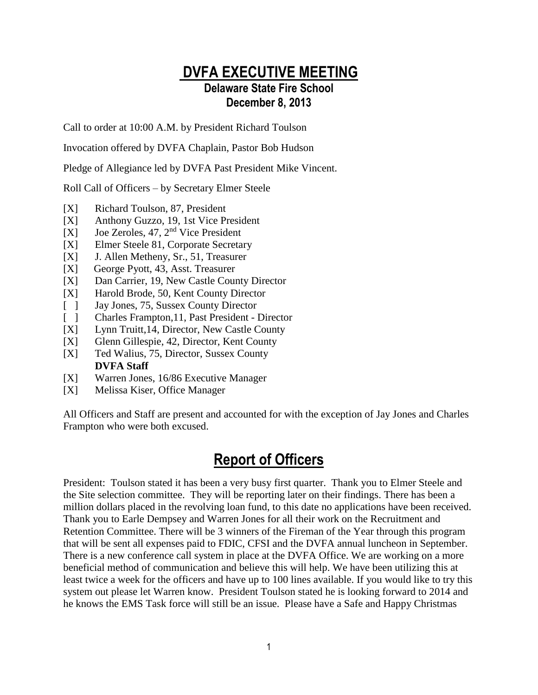## **DVFA EXECUTIVE MEETING Delaware State Fire School December 8, 2013**

Call to order at 10:00 A.M. by President Richard Toulson

Invocation offered by DVFA Chaplain, Pastor Bob Hudson

Pledge of Allegiance led by DVFA Past President Mike Vincent.

Roll Call of Officers – by Secretary Elmer Steele

- [X] Richard Toulson, 87, President
- [X] Anthony Guzzo, 19, 1st Vice President
- [X] Joe Zeroles, 47, 2nd Vice President
- [X] Elmer Steele 81, Corporate Secretary
- [X] J. Allen Metheny, Sr., 51, Treasurer
- [X] George Pyott, 43, Asst. Treasurer
- [X] Dan Carrier, 19, New Castle County Director
- [X] Harold Brode, 50, Kent County Director
- [ ] Jay Jones, 75, Sussex County Director
- [ ] Charles Frampton, 11, Past President Director
- [X] Lynn Truitt,14, Director, New Castle County
- [X] Glenn Gillespie, 42, Director, Kent County
- [X] Ted Walius, 75, Director, Sussex County **DVFA Staff**
- [X] Warren Jones, 16/86 Executive Manager
- [X] Melissa Kiser, Office Manager

All Officers and Staff are present and accounted for with the exception of Jay Jones and Charles Frampton who were both excused.

## **Report of Officers**

President: Toulson stated it has been a very busy first quarter. Thank you to Elmer Steele and the Site selection committee. They will be reporting later on their findings. There has been a million dollars placed in the revolving loan fund, to this date no applications have been received. Thank you to Earle Dempsey and Warren Jones for all their work on the Recruitment and Retention Committee. There will be 3 winners of the Fireman of the Year through this program that will be sent all expenses paid to FDIC, CFSI and the DVFA annual luncheon in September. There is a new conference call system in place at the DVFA Office. We are working on a more beneficial method of communication and believe this will help. We have been utilizing this at least twice a week for the officers and have up to 100 lines available. If you would like to try this system out please let Warren know. President Toulson stated he is looking forward to 2014 and he knows the EMS Task force will still be an issue. Please have a Safe and Happy Christmas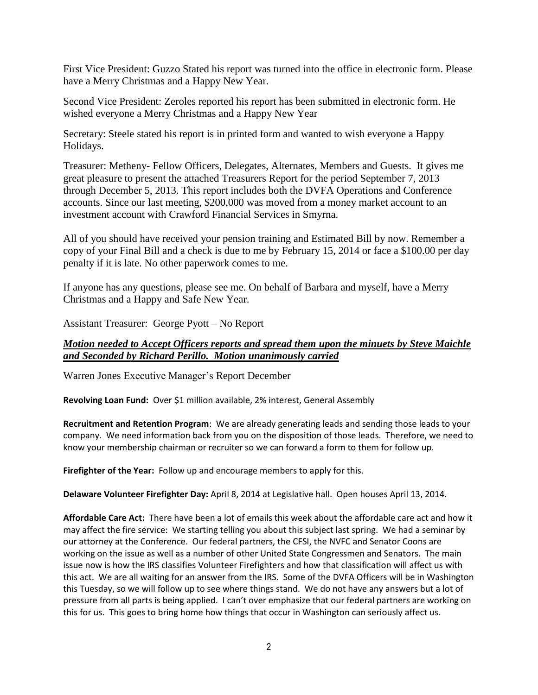First Vice President: Guzzo Stated his report was turned into the office in electronic form. Please have a Merry Christmas and a Happy New Year.

Second Vice President: Zeroles reported his report has been submitted in electronic form. He wished everyone a Merry Christmas and a Happy New Year

Secretary: Steele stated his report is in printed form and wanted to wish everyone a Happy Holidays.

Treasurer: Metheny- Fellow Officers, Delegates, Alternates, Members and Guests. It gives me great pleasure to present the attached Treasurers Report for the period September 7, 2013 through December 5, 2013. This report includes both the DVFA Operations and Conference accounts. Since our last meeting, \$200,000 was moved from a money market account to an investment account with Crawford Financial Services in Smyrna.

All of you should have received your pension training and Estimated Bill by now. Remember a copy of your Final Bill and a check is due to me by February 15, 2014 or face a \$100.00 per day penalty if it is late. No other paperwork comes to me.

If anyone has any questions, please see me. On behalf of Barbara and myself, have a Merry Christmas and a Happy and Safe New Year.

Assistant Treasurer: George Pyott – No Report

#### *Motion needed to Accept Officers reports and spread them upon the minuets by Steve Maichle and Seconded by Richard Perillo. Motion unanimously carried*

Warren Jones Executive Manager's Report December

**Revolving Loan Fund:** Over \$1 million available, 2% interest, General Assembly

**Recruitment and Retention Program**: We are already generating leads and sending those leads to your company. We need information back from you on the disposition of those leads. Therefore, we need to know your membership chairman or recruiter so we can forward a form to them for follow up.

**Firefighter of the Year:** Follow up and encourage members to apply for this.

**Delaware Volunteer Firefighter Day:** April 8, 2014 at Legislative hall. Open houses April 13, 2014.

**Affordable Care Act:** There have been a lot of emails this week about the affordable care act and how it may affect the fire service: We starting telling you about this subject last spring. We had a seminar by our attorney at the Conference. Our federal partners, the CFSI, the NVFC and Senator Coons are working on the issue as well as a number of other United State Congressmen and Senators. The main issue now is how the IRS classifies Volunteer Firefighters and how that classification will affect us with this act. We are all waiting for an answer from the IRS. Some of the DVFA Officers will be in Washington this Tuesday, so we will follow up to see where things stand. We do not have any answers but a lot of pressure from all parts is being applied. I can't over emphasize that our federal partners are working on this for us. This goes to bring home how things that occur in Washington can seriously affect us.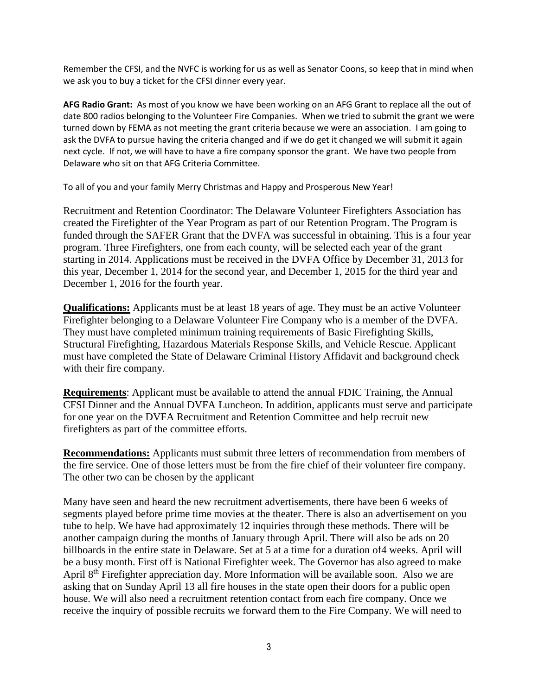Remember the CFSI, and the NVFC is working for us as well as Senator Coons, so keep that in mind when we ask you to buy a ticket for the CFSI dinner every year.

**AFG Radio Grant:** As most of you know we have been working on an AFG Grant to replace all the out of date 800 radios belonging to the Volunteer Fire Companies. When we tried to submit the grant we were turned down by FEMA as not meeting the grant criteria because we were an association. I am going to ask the DVFA to pursue having the criteria changed and if we do get it changed we will submit it again next cycle. If not, we will have to have a fire company sponsor the grant. We have two people from Delaware who sit on that AFG Criteria Committee.

To all of you and your family Merry Christmas and Happy and Prosperous New Year!

Recruitment and Retention Coordinator: The Delaware Volunteer Firefighters Association has created the Firefighter of the Year Program as part of our Retention Program. The Program is funded through the SAFER Grant that the DVFA was successful in obtaining. This is a four year program. Three Firefighters, one from each county, will be selected each year of the grant starting in 2014. Applications must be received in the DVFA Office by December 31, 2013 for this year, December 1, 2014 for the second year, and December 1, 2015 for the third year and December 1, 2016 for the fourth year.

**Qualifications:** Applicants must be at least 18 years of age. They must be an active Volunteer Firefighter belonging to a Delaware Volunteer Fire Company who is a member of the DVFA. They must have completed minimum training requirements of Basic Firefighting Skills, Structural Firefighting, Hazardous Materials Response Skills, and Vehicle Rescue. Applicant must have completed the State of Delaware Criminal History Affidavit and background check with their fire company.

**Requirements**: Applicant must be available to attend the annual FDIC Training, the Annual CFSI Dinner and the Annual DVFA Luncheon. In addition, applicants must serve and participate for one year on the DVFA Recruitment and Retention Committee and help recruit new firefighters as part of the committee efforts.

**Recommendations:** Applicants must submit three letters of recommendation from members of the fire service. One of those letters must be from the fire chief of their volunteer fire company. The other two can be chosen by the applicant

Many have seen and heard the new recruitment advertisements, there have been 6 weeks of segments played before prime time movies at the theater. There is also an advertisement on you tube to help. We have had approximately 12 inquiries through these methods. There will be another campaign during the months of January through April. There will also be ads on 20 billboards in the entire state in Delaware. Set at 5 at a time for a duration of4 weeks. April will be a busy month. First off is National Firefighter week. The Governor has also agreed to make April 8<sup>th</sup> Firefighter appreciation day. More Information will be available soon. Also we are asking that on Sunday April 13 all fire houses in the state open their doors for a public open house. We will also need a recruitment retention contact from each fire company. Once we receive the inquiry of possible recruits we forward them to the Fire Company. We will need to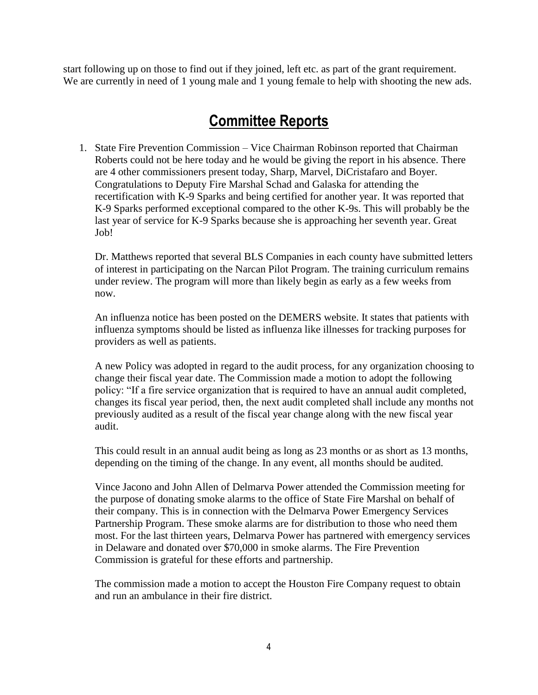start following up on those to find out if they joined, left etc. as part of the grant requirement. We are currently in need of 1 young male and 1 young female to help with shooting the new ads.

# **Committee Reports**

1. State Fire Prevention Commission – Vice Chairman Robinson reported that Chairman Roberts could not be here today and he would be giving the report in his absence. There are 4 other commissioners present today, Sharp, Marvel, DiCristafaro and Boyer. Congratulations to Deputy Fire Marshal Schad and Galaska for attending the recertification with K-9 Sparks and being certified for another year. It was reported that K-9 Sparks performed exceptional compared to the other K-9s. This will probably be the last year of service for K-9 Sparks because she is approaching her seventh year. Great Job!

Dr. Matthews reported that several BLS Companies in each county have submitted letters of interest in participating on the Narcan Pilot Program. The training curriculum remains under review. The program will more than likely begin as early as a few weeks from now.

An influenza notice has been posted on the DEMERS website. It states that patients with influenza symptoms should be listed as influenza like illnesses for tracking purposes for providers as well as patients.

A new Policy was adopted in regard to the audit process, for any organization choosing to change their fiscal year date. The Commission made a motion to adopt the following policy: "If a fire service organization that is required to have an annual audit completed, changes its fiscal year period, then, the next audit completed shall include any months not previously audited as a result of the fiscal year change along with the new fiscal year audit.

This could result in an annual audit being as long as 23 months or as short as 13 months, depending on the timing of the change. In any event, all months should be audited.

Vince Jacono and John Allen of Delmarva Power attended the Commission meeting for the purpose of donating smoke alarms to the office of State Fire Marshal on behalf of their company. This is in connection with the Delmarva Power Emergency Services Partnership Program. These smoke alarms are for distribution to those who need them most. For the last thirteen years, Delmarva Power has partnered with emergency services in Delaware and donated over \$70,000 in smoke alarms. The Fire Prevention Commission is grateful for these efforts and partnership.

The commission made a motion to accept the Houston Fire Company request to obtain and run an ambulance in their fire district.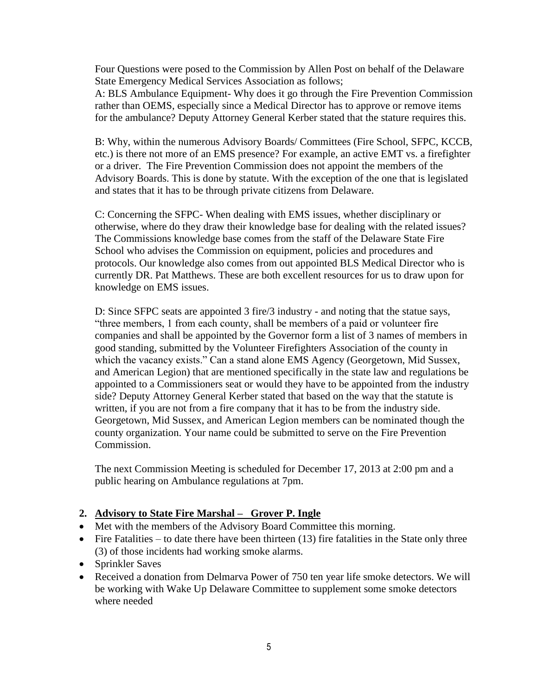Four Questions were posed to the Commission by Allen Post on behalf of the Delaware State Emergency Medical Services Association as follows;

A: BLS Ambulance Equipment- Why does it go through the Fire Prevention Commission rather than OEMS, especially since a Medical Director has to approve or remove items for the ambulance? Deputy Attorney General Kerber stated that the stature requires this.

B: Why, within the numerous Advisory Boards/ Committees (Fire School, SFPC, KCCB, etc.) is there not more of an EMS presence? For example, an active EMT vs. a firefighter or a driver. The Fire Prevention Commission does not appoint the members of the Advisory Boards. This is done by statute. With the exception of the one that is legislated and states that it has to be through private citizens from Delaware.

C: Concerning the SFPC- When dealing with EMS issues, whether disciplinary or otherwise, where do they draw their knowledge base for dealing with the related issues? The Commissions knowledge base comes from the staff of the Delaware State Fire School who advises the Commission on equipment, policies and procedures and protocols. Our knowledge also comes from out appointed BLS Medical Director who is currently DR. Pat Matthews. These are both excellent resources for us to draw upon for knowledge on EMS issues.

D: Since SFPC seats are appointed 3 fire/3 industry - and noting that the statue says, "three members, 1 from each county, shall be members of a paid or volunteer fire companies and shall be appointed by the Governor form a list of 3 names of members in good standing, submitted by the Volunteer Firefighters Association of the county in which the vacancy exists." Can a stand alone EMS Agency (Georgetown, Mid Sussex, and American Legion) that are mentioned specifically in the state law and regulations be appointed to a Commissioners seat or would they have to be appointed from the industry side? Deputy Attorney General Kerber stated that based on the way that the statute is written, if you are not from a fire company that it has to be from the industry side. Georgetown, Mid Sussex, and American Legion members can be nominated though the county organization. Your name could be submitted to serve on the Fire Prevention Commission.

The next Commission Meeting is scheduled for December 17, 2013 at 2:00 pm and a public hearing on Ambulance regulations at 7pm.

#### **2. Advisory to State Fire Marshal – Grover P. Ingle**

- Met with the members of the Advisory Board Committee this morning.
- $\bullet$  Fire Fatalities to date there have been thirteen (13) fire fatalities in the State only three (3) of those incidents had working smoke alarms.
- Sprinkler Saves
- Received a donation from Delmarva Power of 750 ten year life smoke detectors. We will be working with Wake Up Delaware Committee to supplement some smoke detectors where needed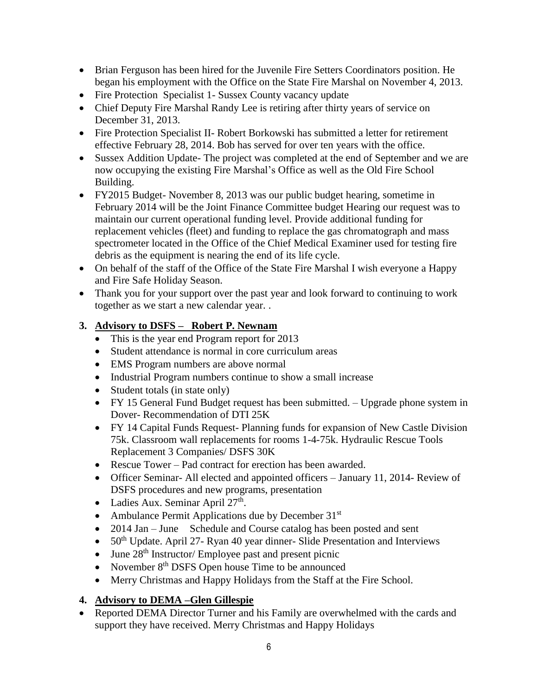- Brian Ferguson has been hired for the Juvenile Fire Setters Coordinators position. He began his employment with the Office on the State Fire Marshal on November 4, 2013.
- Fire Protection Specialist 1- Sussex County vacancy update
- Chief Deputy Fire Marshal Randy Lee is retiring after thirty years of service on December 31, 2013.
- Fire Protection Specialist II- Robert Borkowski has submitted a letter for retirement effective February 28, 2014. Bob has served for over ten years with the office.
- Sussex Addition Update- The project was completed at the end of September and we are now occupying the existing Fire Marshal's Office as well as the Old Fire School Building.
- FY2015 Budget- November 8, 2013 was our public budget hearing, sometime in February 2014 will be the Joint Finance Committee budget Hearing our request was to maintain our current operational funding level. Provide additional funding for replacement vehicles (fleet) and funding to replace the gas chromatograph and mass spectrometer located in the Office of the Chief Medical Examiner used for testing fire debris as the equipment is nearing the end of its life cycle.
- On behalf of the staff of the Office of the State Fire Marshal I wish everyone a Happy and Fire Safe Holiday Season.
- Thank you for your support over the past year and look forward to continuing to work together as we start a new calendar year. .

## **3. Advisory to DSFS – Robert P. Newnam**

- This is the year end Program report for 2013
- Student attendance is normal in core curriculum areas
- EMS Program numbers are above normal
- Industrial Program numbers continue to show a small increase
- Student totals (in state only)
- FY 15 General Fund Budget request has been submitted. Upgrade phone system in Dover- Recommendation of DTI 25K
- FY 14 Capital Funds Request- Planning funds for expansion of New Castle Division 75k. Classroom wall replacements for rooms 1-4-75k. Hydraulic Rescue Tools Replacement 3 Companies/ DSFS 30K
- Rescue Tower Pad contract for erection has been awarded.
- Officer Seminar- All elected and appointed officers January 11, 2014- Review of DSFS procedures and new programs, presentation
- Ladies Aux. Seminar April  $27<sup>th</sup>$ .
- Ambulance Permit Applications due by December  $31<sup>st</sup>$
- 2014 Jan June Schedule and Course catalog has been posted and sent
- $\bullet$  50<sup>th</sup> Update. April 27- Ryan 40 year dinner-Slide Presentation and Interviews
- $\bullet$  June 28<sup>th</sup> Instructor/ Employee past and present picnic
- November  $8<sup>th</sup>$  DSFS Open house Time to be announced
- Merry Christmas and Happy Holidays from the Staff at the Fire School.

## **4. Advisory to DEMA –Glen Gillespie**

• Reported DEMA Director Turner and his Family are overwhelmed with the cards and support they have received. Merry Christmas and Happy Holidays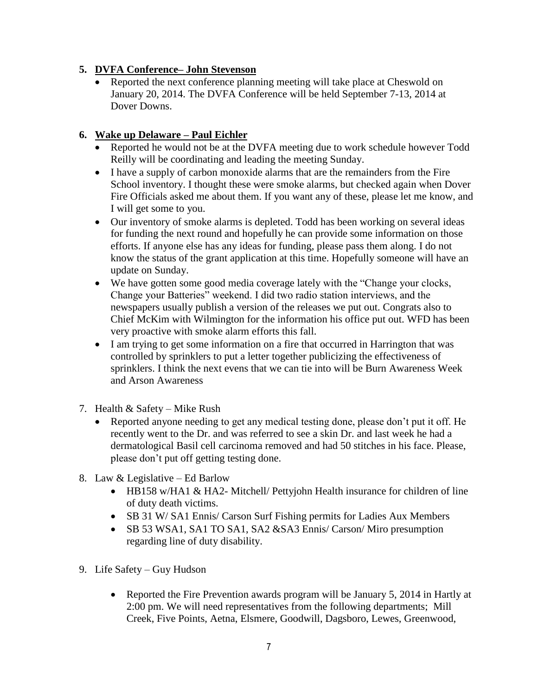#### **5. DVFA Conference– John Stevenson**

• Reported the next conference planning meeting will take place at Cheswold on January 20, 2014. The DVFA Conference will be held September 7-13, 2014 at Dover Downs.

## **6. Wake up Delaware – Paul Eichler**

- Reported he would not be at the DVFA meeting due to work schedule however Todd Reilly will be coordinating and leading the meeting Sunday.
- I have a supply of carbon monoxide alarms that are the remainders from the Fire School inventory. I thought these were smoke alarms, but checked again when Dover Fire Officials asked me about them. If you want any of these, please let me know, and I will get some to you.
- Our inventory of smoke alarms is depleted. Todd has been working on several ideas for funding the next round and hopefully he can provide some information on those efforts. If anyone else has any ideas for funding, please pass them along. I do not know the status of the grant application at this time. Hopefully someone will have an update on Sunday.
- We have gotten some good media coverage lately with the "Change your clocks, Change your Batteries" weekend. I did two radio station interviews, and the newspapers usually publish a version of the releases we put out. Congrats also to Chief McKim with Wilmington for the information his office put out. WFD has been very proactive with smoke alarm efforts this fall.
- I am trying to get some information on a fire that occurred in Harrington that was controlled by sprinklers to put a letter together publicizing the effectiveness of sprinklers. I think the next evens that we can tie into will be Burn Awareness Week and Arson Awareness
- 7. Health & Safety Mike Rush
	- Reported anyone needing to get any medical testing done, please don't put it off. He recently went to the Dr. and was referred to see a skin Dr. and last week he had a dermatological Basil cell carcinoma removed and had 50 stitches in his face. Please, please don't put off getting testing done.
- 8. Law & Legislative Ed Barlow
	- HB158 w/HA1 & HA2- Mitchell/ Pettyjohn Health insurance for children of line of duty death victims.
	- SB 31 W/ SA1 Ennis/ Carson Surf Fishing permits for Ladies Aux Members
	- SB 53 WSA1, SA1 TO SA1, SA2 & SA3 Ennis/ Carson/ Miro presumption regarding line of duty disability.
- 9. Life Safety Guy Hudson
	- Reported the Fire Prevention awards program will be January 5, 2014 in Hartly at 2:00 pm. We will need representatives from the following departments; Mill Creek, Five Points, Aetna, Elsmere, Goodwill, Dagsboro, Lewes, Greenwood,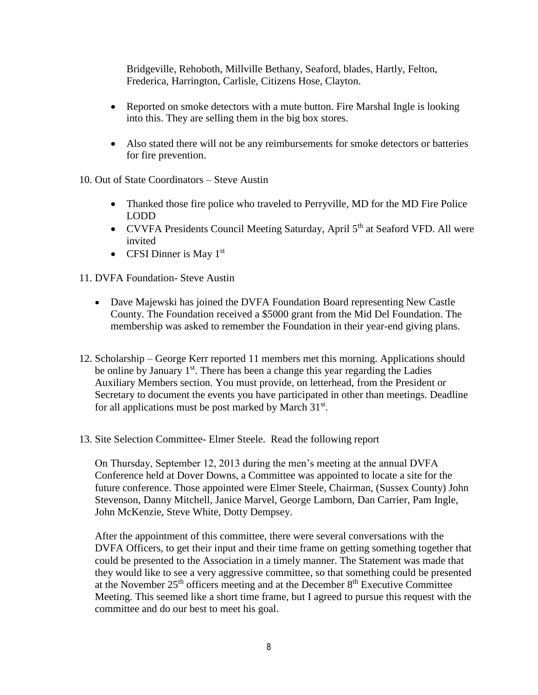Bridgeville, Rehoboth, Millville Bethany, Seaford, blades, Hartly, Felton, Frederica, Harrington, Carlisle, Citizens Hose, Clayton.

- Reported on smoke detectors with a mute button. Fire Marshal Ingle is looking into this. They are selling them in the big box stores.
- Also stated there will not be any reimbursements for smoke detectors or batteries for fire prevention.
- 10. Out of State Coordinators Steve Austin
	- Thanked those fire police who traveled to Perryville, MD for the MD Fire Police LODD
	- CVVFA Presidents Council Meeting Saturday, April 5<sup>th</sup> at Seaford VFD. All were invited
	- CFSI Dinner is May  $1<sup>st</sup>$
- 11. DVFA Foundation- Steve Austin
	- Dave Majewski has joined the DVFA Foundation Board representing New Castle County. The Foundation received a \$5000 grant from the Mid Del Foundation. The membership was asked to remember the Foundation in their year-end giving plans.
- 12. Scholarship George Kerr reported 11 members met this morning. Applications should be online by January  $1<sup>st</sup>$ . There has been a change this year regarding the Ladies Auxiliary Members section. You must provide, on letterhead, from the President or Secretary to document the events you have participated in other than meetings. Deadline for all applications must be post marked by March  $31<sup>st</sup>$ .
- 13. Site Selection Committee- Elmer Steele. Read the following report

On Thursday, September 12, 2013 during the men's meeting at the annual DVFA Conference held at Dover Downs, a Committee was appointed to locate a site for the future conference. Those appointed were Elmer Steele, Chairman, (Sussex County) John Stevenson, Danny Mitchell, Janice Marvel, George Lamborn, Dan Carrier, Pam Ingle, John McKenzie, Steve White, Dotty Dempsey.

After the appointment of this committee, there were several conversations with the DVFA Officers, to get their input and their time frame on getting something together that could be presented to the Association in a timely manner. The Statement was made that they would like to see a very aggressive committee, so that something could be presented at the November  $25<sup>th</sup>$  officers meeting and at the December  $8<sup>th</sup>$  Executive Committee Meeting. This seemed like a short time frame, but I agreed to pursue this request with the committee and do our best to meet his goal.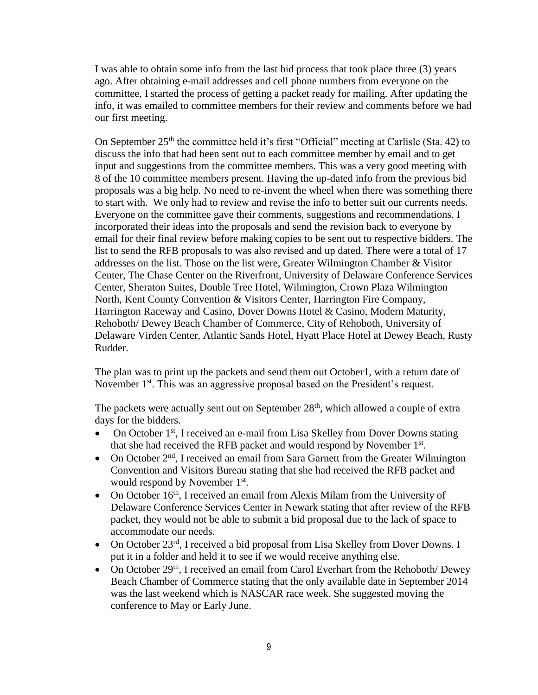I was able to obtain some info from the last bid process that took place three (3) years ago. After obtaining e-mail addresses and cell phone numbers from everyone on the committee, I started the process of getting a packet ready for mailing. After updating the info, it was emailed to committee members for their review and comments before we had our first meeting.

On September  $25<sup>th</sup>$  the committee held it's first "Official" meeting at Carlisle (Sta. 42) to discuss the info that had been sent out to each committee member by email and to get input and suggestions from the committee members. This was a very good meeting with 8 of the 10 committee members present. Having the up-dated info from the previous bid proposals was a big help. No need to re-invent the wheel when there was something there to start with. We only had to review and revise the info to better suit our currents needs. Everyone on the committee gave their comments, suggestions and recommendations. I incorporated their ideas into the proposals and send the revision back to everyone by email for their final review before making copies to be sent out to respective bidders. The list to send the RFB proposals to was also revised and up dated. There were a total of 17 addresses on the list. Those on the list were, Greater Wilmington Chamber & Visitor Center, The Chase Center on the Riverfront, University of Delaware Conference Services Center, Sheraton Suites, Double Tree Hotel, Wilmington, Crown Plaza Wilmington North, Kent County Convention & Visitors Center, Harrington Fire Company, Harrington Raceway and Casino, Dover Downs Hotel & Casino, Modern Maturity, Rehoboth/ Dewey Beach Chamber of Commerce, City of Rehoboth, University of Delaware Virden Center, Atlantic Sands Hotel, Hyatt Place Hotel at Dewey Beach, Rusty Rudder.

The plan was to print up the packets and send them out October1, with a return date of November 1<sup>st</sup>. This was an aggressive proposal based on the President's request.

The packets were actually sent out on September  $28<sup>th</sup>$ , which allowed a couple of extra days for the bidders.

- On October  $1<sup>st</sup>$ , I received an e-mail from Lisa Skelley from Dover Downs stating that she had received the RFB packet and would respond by November 1<sup>st</sup>.
- On October  $2<sup>nd</sup>$ , I received an email from Sara Garnett from the Greater Wilmington Convention and Visitors Bureau stating that she had received the RFB packet and would respond by November 1<sup>st</sup>.
- On October  $16<sup>th</sup>$ , I received an email from Alexis Milam from the University of Delaware Conference Services Center in Newark stating that after review of the RFB packet, they would not be able to submit a bid proposal due to the lack of space to accommodate our needs.
- On October  $23^{rd}$ , I received a bid proposal from Lisa Skelley from Dover Downs. I put it in a folder and held it to see if we would receive anything else.
- On October  $29<sup>th</sup>$ , I received an email from Carol Everhart from the Rehoboth/ Dewey Beach Chamber of Commerce stating that the only available date in September 2014 was the last weekend which is NASCAR race week. She suggested moving the conference to May or Early June.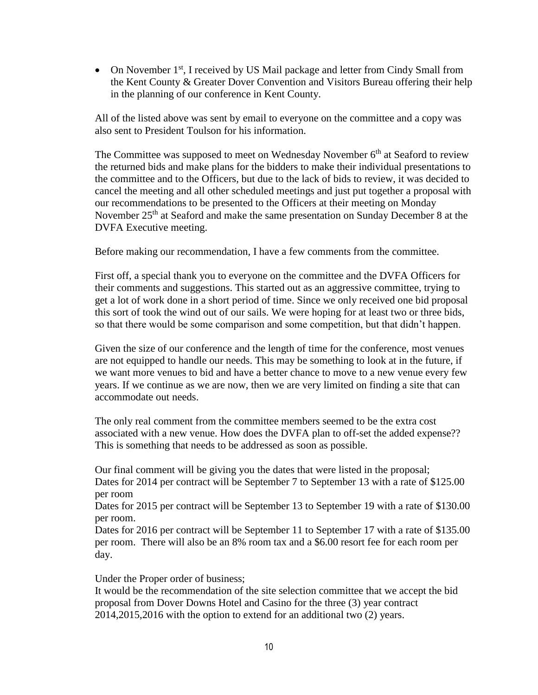• On November  $1<sup>st</sup>$ , I received by US Mail package and letter from Cindy Small from the Kent County & Greater Dover Convention and Visitors Bureau offering their help in the planning of our conference in Kent County.

All of the listed above was sent by email to everyone on the committee and a copy was also sent to President Toulson for his information.

The Committee was supposed to meet on Wednesday November  $6<sup>th</sup>$  at Seaford to review the returned bids and make plans for the bidders to make their individual presentations to the committee and to the Officers, but due to the lack of bids to review, it was decided to cancel the meeting and all other scheduled meetings and just put together a proposal with our recommendations to be presented to the Officers at their meeting on Monday November 25<sup>th</sup> at Seaford and make the same presentation on Sunday December 8 at the DVFA Executive meeting.

Before making our recommendation, I have a few comments from the committee.

First off, a special thank you to everyone on the committee and the DVFA Officers for their comments and suggestions. This started out as an aggressive committee, trying to get a lot of work done in a short period of time. Since we only received one bid proposal this sort of took the wind out of our sails. We were hoping for at least two or three bids, so that there would be some comparison and some competition, but that didn't happen.

Given the size of our conference and the length of time for the conference, most venues are not equipped to handle our needs. This may be something to look at in the future, if we want more venues to bid and have a better chance to move to a new venue every few years. If we continue as we are now, then we are very limited on finding a site that can accommodate out needs.

The only real comment from the committee members seemed to be the extra cost associated with a new venue. How does the DVFA plan to off-set the added expense?? This is something that needs to be addressed as soon as possible.

Our final comment will be giving you the dates that were listed in the proposal; Dates for 2014 per contract will be September 7 to September 13 with a rate of \$125.00 per room

Dates for 2015 per contract will be September 13 to September 19 with a rate of \$130.00 per room.

Dates for 2016 per contract will be September 11 to September 17 with a rate of \$135.00 per room. There will also be an 8% room tax and a \$6.00 resort fee for each room per day.

Under the Proper order of business;

It would be the recommendation of the site selection committee that we accept the bid proposal from Dover Downs Hotel and Casino for the three (3) year contract 2014,2015,2016 with the option to extend for an additional two (2) years.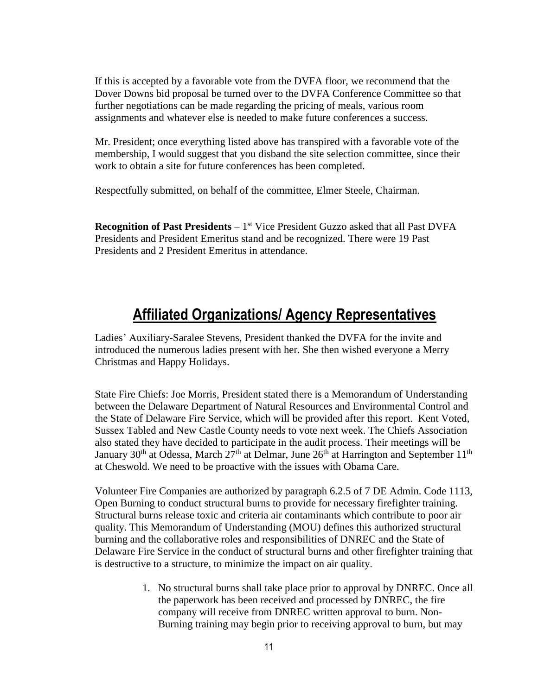If this is accepted by a favorable vote from the DVFA floor, we recommend that the Dover Downs bid proposal be turned over to the DVFA Conference Committee so that further negotiations can be made regarding the pricing of meals, various room assignments and whatever else is needed to make future conferences a success.

Mr. President; once everything listed above has transpired with a favorable vote of the membership, I would suggest that you disband the site selection committee, since their work to obtain a site for future conferences has been completed.

Respectfully submitted, on behalf of the committee, Elmer Steele, Chairman.

**Recognition of Past Presidents** – 1<sup>st</sup> Vice President Guzzo asked that all Past DVFA Presidents and President Emeritus stand and be recognized. There were 19 Past Presidents and 2 President Emeritus in attendance.

## **Affiliated Organizations/ Agency Representatives**

Ladies' Auxiliary-Saralee Stevens, President thanked the DVFA for the invite and introduced the numerous ladies present with her. She then wished everyone a Merry Christmas and Happy Holidays.

State Fire Chiefs: Joe Morris, President stated there is a Memorandum of Understanding between the Delaware Department of Natural Resources and Environmental Control and the State of Delaware Fire Service, which will be provided after this report. Kent Voted, Sussex Tabled and New Castle County needs to vote next week. The Chiefs Association also stated they have decided to participate in the audit process. Their meetings will be January 30<sup>th</sup> at Odessa, March 27<sup>th</sup> at Delmar, June 26<sup>th</sup> at Harrington and September 11<sup>th</sup> at Cheswold. We need to be proactive with the issues with Obama Care.

Volunteer Fire Companies are authorized by paragraph 6.2.5 of 7 DE Admin. Code 1113, Open Burning to conduct structural burns to provide for necessary firefighter training. Structural burns release toxic and criteria air contaminants which contribute to poor air quality. This Memorandum of Understanding (MOU) defines this authorized structural burning and the collaborative roles and responsibilities of DNREC and the State of Delaware Fire Service in the conduct of structural burns and other firefighter training that is destructive to a structure, to minimize the impact on air quality.

> 1. No structural burns shall take place prior to approval by DNREC. Once all the paperwork has been received and processed by DNREC, the fire company will receive from DNREC written approval to burn. Non-Burning training may begin prior to receiving approval to burn, but may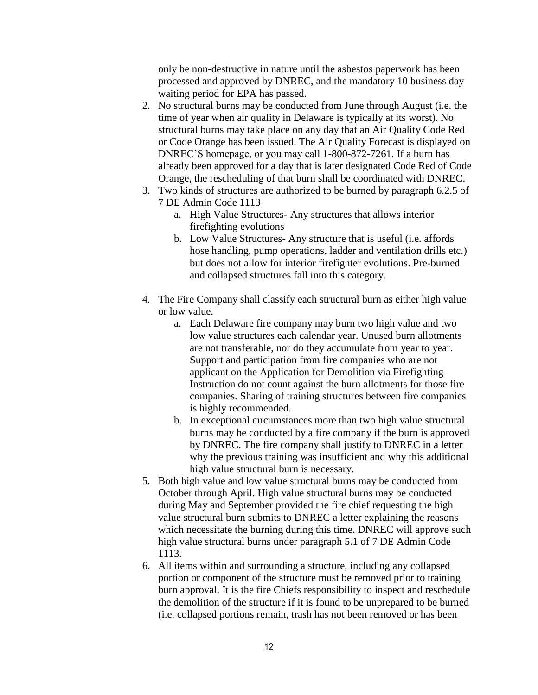only be non-destructive in nature until the asbestos paperwork has been processed and approved by DNREC, and the mandatory 10 business day waiting period for EPA has passed.

- 2. No structural burns may be conducted from June through August (i.e. the time of year when air quality in Delaware is typically at its worst). No structural burns may take place on any day that an Air Quality Code Red or Code Orange has been issued. The Air Quality Forecast is displayed on DNREC'S homepage, or you may call 1-800-872-7261. If a burn has already been approved for a day that is later designated Code Red of Code Orange, the rescheduling of that burn shall be coordinated with DNREC.
- 3. Two kinds of structures are authorized to be burned by paragraph 6.2.5 of 7 DE Admin Code 1113
	- a. High Value Structures- Any structures that allows interior firefighting evolutions
	- b. Low Value Structures- Any structure that is useful (i.e. affords hose handling, pump operations, ladder and ventilation drills etc.) but does not allow for interior firefighter evolutions. Pre-burned and collapsed structures fall into this category.
- 4. The Fire Company shall classify each structural burn as either high value or low value.
	- a. Each Delaware fire company may burn two high value and two low value structures each calendar year. Unused burn allotments are not transferable, nor do they accumulate from year to year. Support and participation from fire companies who are not applicant on the Application for Demolition via Firefighting Instruction do not count against the burn allotments for those fire companies. Sharing of training structures between fire companies is highly recommended.
	- b. In exceptional circumstances more than two high value structural burns may be conducted by a fire company if the burn is approved by DNREC. The fire company shall justify to DNREC in a letter why the previous training was insufficient and why this additional high value structural burn is necessary.
- 5. Both high value and low value structural burns may be conducted from October through April. High value structural burns may be conducted during May and September provided the fire chief requesting the high value structural burn submits to DNREC a letter explaining the reasons which necessitate the burning during this time. DNREC will approve such high value structural burns under paragraph 5.1 of 7 DE Admin Code 1113.
- 6. All items within and surrounding a structure, including any collapsed portion or component of the structure must be removed prior to training burn approval. It is the fire Chiefs responsibility to inspect and reschedule the demolition of the structure if it is found to be unprepared to be burned (i.e. collapsed portions remain, trash has not been removed or has been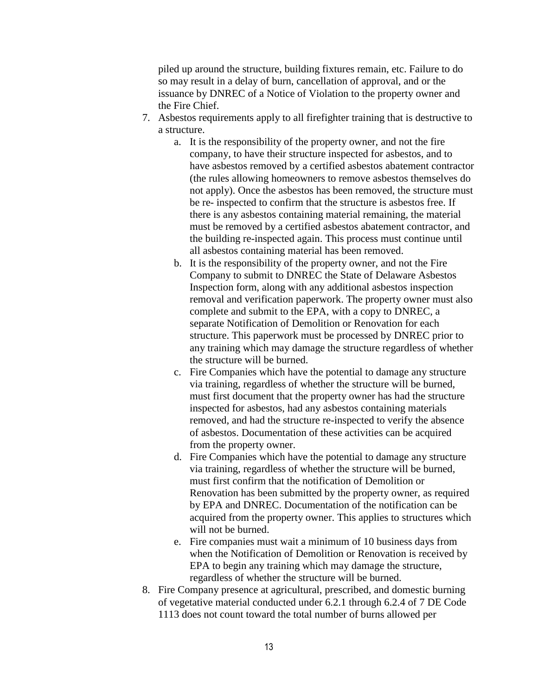piled up around the structure, building fixtures remain, etc. Failure to do so may result in a delay of burn, cancellation of approval, and or the issuance by DNREC of a Notice of Violation to the property owner and the Fire Chief.

- 7. Asbestos requirements apply to all firefighter training that is destructive to a structure.
	- a. It is the responsibility of the property owner, and not the fire company, to have their structure inspected for asbestos, and to have asbestos removed by a certified asbestos abatement contractor (the rules allowing homeowners to remove asbestos themselves do not apply). Once the asbestos has been removed, the structure must be re- inspected to confirm that the structure is asbestos free. If there is any asbestos containing material remaining, the material must be removed by a certified asbestos abatement contractor, and the building re-inspected again. This process must continue until all asbestos containing material has been removed.
	- b. It is the responsibility of the property owner, and not the Fire Company to submit to DNREC the State of Delaware Asbestos Inspection form, along with any additional asbestos inspection removal and verification paperwork. The property owner must also complete and submit to the EPA, with a copy to DNREC, a separate Notification of Demolition or Renovation for each structure. This paperwork must be processed by DNREC prior to any training which may damage the structure regardless of whether the structure will be burned.
	- c. Fire Companies which have the potential to damage any structure via training, regardless of whether the structure will be burned, must first document that the property owner has had the structure inspected for asbestos, had any asbestos containing materials removed, and had the structure re-inspected to verify the absence of asbestos. Documentation of these activities can be acquired from the property owner.
	- d. Fire Companies which have the potential to damage any structure via training, regardless of whether the structure will be burned, must first confirm that the notification of Demolition or Renovation has been submitted by the property owner, as required by EPA and DNREC. Documentation of the notification can be acquired from the property owner. This applies to structures which will not be burned.
	- e. Fire companies must wait a minimum of 10 business days from when the Notification of Demolition or Renovation is received by EPA to begin any training which may damage the structure, regardless of whether the structure will be burned.
- 8. Fire Company presence at agricultural, prescribed, and domestic burning of vegetative material conducted under 6.2.1 through 6.2.4 of 7 DE Code 1113 does not count toward the total number of burns allowed per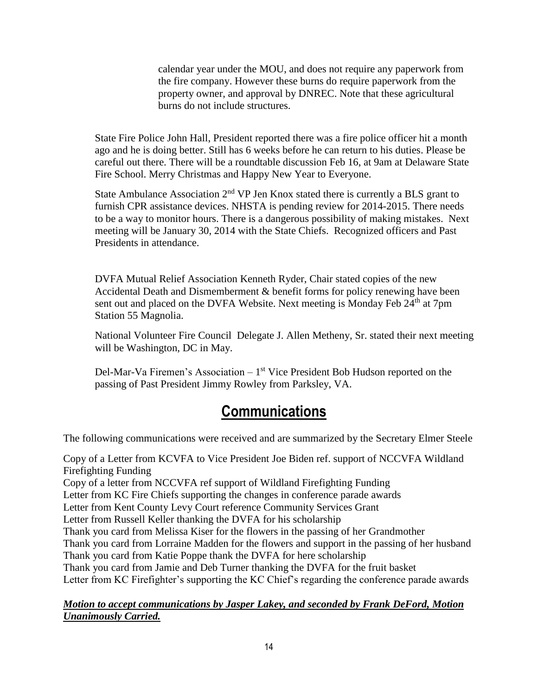calendar year under the MOU, and does not require any paperwork from the fire company. However these burns do require paperwork from the property owner, and approval by DNREC. Note that these agricultural burns do not include structures.

State Fire Police John Hall, President reported there was a fire police officer hit a month ago and he is doing better. Still has 6 weeks before he can return to his duties. Please be careful out there. There will be a roundtable discussion Feb 16, at 9am at Delaware State Fire School. Merry Christmas and Happy New Year to Everyone.

State Ambulance Association  $2<sup>nd</sup>$  VP Jen Knox stated there is currently a BLS grant to furnish CPR assistance devices. NHSTA is pending review for 2014-2015. There needs to be a way to monitor hours. There is a dangerous possibility of making mistakes. Next meeting will be January 30, 2014 with the State Chiefs. Recognized officers and Past Presidents in attendance.

DVFA Mutual Relief Association Kenneth Ryder, Chair stated copies of the new Accidental Death and Dismemberment & benefit forms for policy renewing have been sent out and placed on the DVFA Website. Next meeting is Monday Feb  $24<sup>th</sup>$  at 7pm Station 55 Magnolia.

National Volunteer Fire Council Delegate J. Allen Metheny, Sr. stated their next meeting will be Washington, DC in May.

Del-Mar-Va Firemen's Association  $-1<sup>st</sup>$  Vice President Bob Hudson reported on the passing of Past President Jimmy Rowley from Parksley, VA.

# **Communications**

The following communications were received and are summarized by the Secretary Elmer Steele

Copy of a Letter from KCVFA to Vice President Joe Biden ref. support of NCCVFA Wildland Firefighting Funding Copy of a letter from NCCVFA ref support of Wildland Firefighting Funding Letter from KC Fire Chiefs supporting the changes in conference parade awards Letter from Kent County Levy Court reference Community Services Grant Letter from Russell Keller thanking the DVFA for his scholarship Thank you card from Melissa Kiser for the flowers in the passing of her Grandmother Thank you card from Lorraine Madden for the flowers and support in the passing of her husband Thank you card from Katie Poppe thank the DVFA for here scholarship Thank you card from Jamie and Deb Turner thanking the DVFA for the fruit basket Letter from KC Firefighter's supporting the KC Chief's regarding the conference parade awards

*Motion to accept communications by Jasper Lakey, and seconded by Frank DeFord, Motion Unanimously Carried.*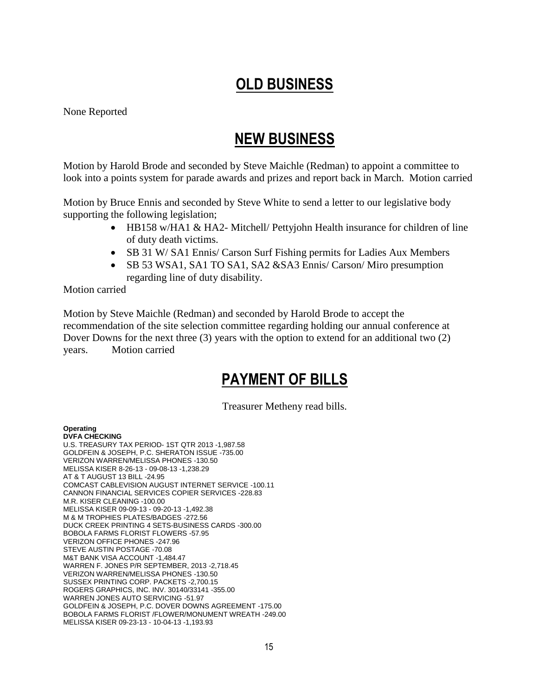# **OLD BUSINESS**

None Reported

# **NEW BUSINESS**

Motion by Harold Brode and seconded by Steve Maichle (Redman) to appoint a committee to look into a points system for parade awards and prizes and report back in March. Motion carried

Motion by Bruce Ennis and seconded by Steve White to send a letter to our legislative body supporting the following legislation;

- HB158 w/HA1 & HA2- Mitchell/ Pettyjohn Health insurance for children of line of duty death victims.
- SB 31 W/ SA1 Ennis/ Carson Surf Fishing permits for Ladies Aux Members
- SB 53 WSA1, SA1 TO SA1, SA2 & SA3 Ennis/ Carson/ Miro presumption regarding line of duty disability.

#### Motion carried

Motion by Steve Maichle (Redman) and seconded by Harold Brode to accept the recommendation of the site selection committee regarding holding our annual conference at Dover Downs for the next three (3) years with the option to extend for an additional two (2) years. Motion carried

# **PAYMENT OF BILLS**

Treasurer Metheny read bills.

### **Operating**

**DVFA CHECKING** U.S. TREASURY TAX PERIOD- 1ST QTR 2013 -1,987.58 GOLDFEIN & JOSEPH, P.C. SHERATON ISSUE -735.00 VERIZON WARREN/MELISSA PHONES -130.50 MELISSA KISER 8-26-13 - 09-08-13 -1,238.29 AT & T AUGUST 13 BILL -24.95 COMCAST CABLEVISION AUGUST INTERNET SERVICE -100.11 CANNON FINANCIAL SERVICES COPIER SERVICES -228.83 M.R. KISER CLEANING -100.00 MELISSA KISER 09-09-13 - 09-20-13 -1,492.38 M & M TROPHIES PLATES/BADGES -272.56 DUCK CREEK PRINTING 4 SETS-BUSINESS CARDS -300.00 BOBOLA FARMS FLORIST FLOWERS -57.95 VERIZON OFFICE PHONES -247.96 STEVE AUSTIN POSTAGE -70.08 M&T BANK VISA ACCOUNT -1,484.47 WARREN F. JONES P/R SEPTEMBER, 2013 -2,718.45 VERIZON WARREN/MELISSA PHONES -130.50 SUSSEX PRINTING CORP. PACKETS -2,700.15 ROGERS GRAPHICS, INC. INV. 30140/33141 -355.00 WARREN JONES AUTO SERVICING -51.97 GOLDFEIN & JOSEPH, P.C. DOVER DOWNS AGREEMENT -175.00 BOBOLA FARMS FLORIST /FLOWER/MONUMENT WREATH -249.00 MELISSA KISER 09-23-13 - 10-04-13 -1,193.93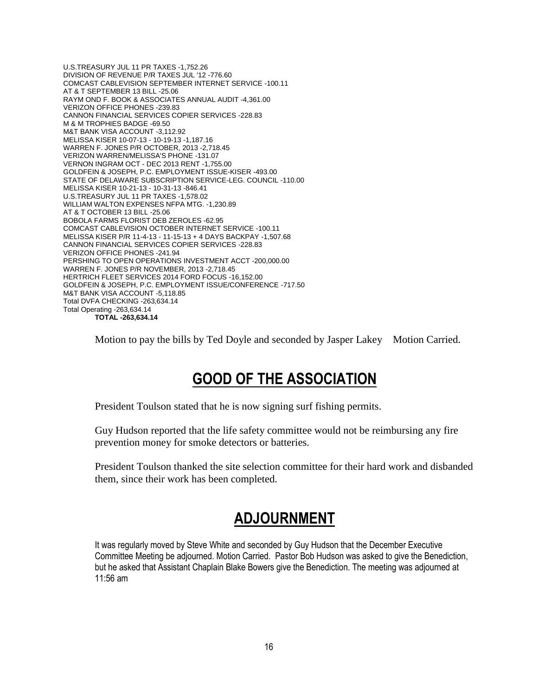U.S.TREASURY JUL 11 PR TAXES -1,752.26 DIVISION OF REVENUE P/R TAXES JUL '12 -776.60 COMCAST CABLEVISION SEPTEMBER INTERNET SERVICE -100.11 AT & T SEPTEMBER 13 BILL -25.06 RAYM OND F. BOOK & ASSOCIATES ANNUAL AUDIT -4,361.00 VERIZON OFFICE PHONES -239.83 CANNON FINANCIAL SERVICES COPIER SERVICES -228.83 M & M TROPHIES BADGE -69.50 M&T BANK VISA ACCOUNT -3,112.92 MELISSA KISER 10-07-13 - 10-19-13 -1,187.16 WARREN F. JONES P/R OCTOBER, 2013 -2,718.45 VERIZON WARREN/MELISSA'S PHONE -131.07 VERNON INGRAM OCT - DEC 2013 RENT -1,755.00 GOLDFEIN & JOSEPH, P.C. EMPLOYMENT ISSUE-KISER -493.00 STATE OF DELAWARE SUBSCRIPTION SERVICE-LEG. COUNCIL -110.00 MELISSA KISER 10-21-13 - 10-31-13 -846.41 U.S.TREASURY JUL 11 PR TAXES -1,578.02 WILLIAM WALTON EXPENSES NFPA MTG. -1,230.89 AT & T OCTOBER 13 BILL -25.06 BOBOLA FARMS FLORIST DEB ZEROLES -62.95 COMCAST CABLEVISION OCTOBER INTERNET SERVICE -100.11 MELISSA KISER P/R 11-4-13 - 11-15-13 + 4 DAYS BACKPAY -1,507.68 CANNON FINANCIAL SERVICES COPIER SERVICES -228.83 VERIZON OFFICE PHONES -241.94 PERSHING TO OPEN OPERATIONS INVESTMENT ACCT -200,000.00 WARREN F. JONES P/R NOVEMBER, 2013 -2,718.45 HERTRICH FLEET SERVICES 2014 FORD FOCUS -16,152.00 GOLDFEIN & JOSEPH, P.C. EMPLOYMENT ISSUE/CONFERENCE -717.50 M&T BANK VISA ACCOUNT -5,118.85 Total DVFA CHECKING -263,634.14 Total Operating -263,634.14 **TOTAL -263,634.14**

Motion to pay the bills by Ted Doyle and seconded by Jasper Lakey Motion Carried.

# **GOOD OF THE ASSOCIATION**

President Toulson stated that he is now signing surf fishing permits.

Guy Hudson reported that the life safety committee would not be reimbursing any fire prevention money for smoke detectors or batteries.

President Toulson thanked the site selection committee for their hard work and disbanded them, since their work has been completed.

# **ADJOURNMENT**

It was regularly moved by Steve White and seconded by Guy Hudson that the December Executive Committee Meeting be adjourned. Motion Carried. Pastor Bob Hudson was asked to give the Benediction, but he asked that Assistant Chaplain Blake Bowers give the Benediction. The meeting was adjourned at 11:56 am